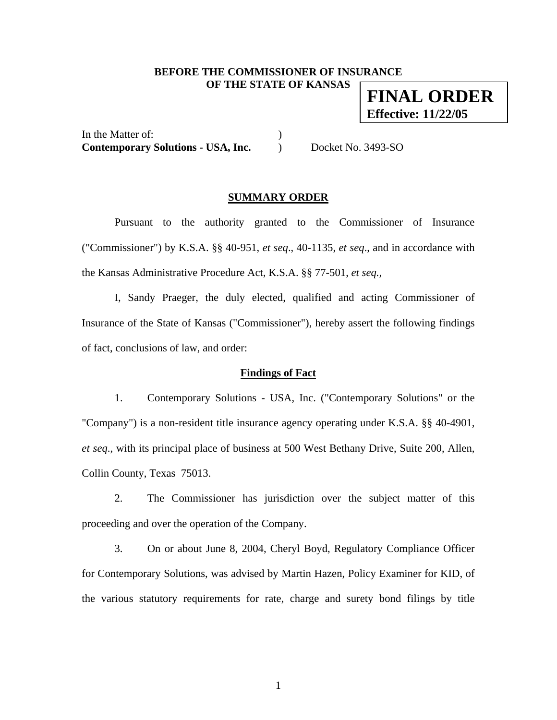# **BEFORE THE COMMISSIONER OF INSURANCE OF THE STATE OF KANSAS**

**FINAL ORDER Effective: 11/22/05**

In the Matter of:  $\qquad \qquad$  ) **Contemporary Solutions - USA, Inc.** ) Docket No. 3493-SO

# **SUMMARY ORDER**

 Pursuant to the authority granted to the Commissioner of Insurance ("Commissioner") by K.S.A. §§ 40-951, *et seq*., 40-1135, *et seq*., and in accordance with the Kansas Administrative Procedure Act, K.S.A. §§ 77-501, *et seq.,* 

I, Sandy Praeger, the duly elected, qualified and acting Commissioner of Insurance of the State of Kansas ("Commissioner"), hereby assert the following findings of fact, conclusions of law, and order:

# **Findings of Fact**

 1. Contemporary Solutions - USA, Inc. ("Contemporary Solutions" or the "Company") is a non-resident title insurance agency operating under K.S.A. §§ 40-4901*, et seq*., with its principal place of business at 500 West Bethany Drive, Suite 200, Allen, Collin County, Texas 75013.

 2. The Commissioner has jurisdiction over the subject matter of this proceeding and over the operation of the Company.

 3. On or about June 8, 2004, Cheryl Boyd, Regulatory Compliance Officer for Contemporary Solutions, was advised by Martin Hazen, Policy Examiner for KID, of the various statutory requirements for rate, charge and surety bond filings by title

1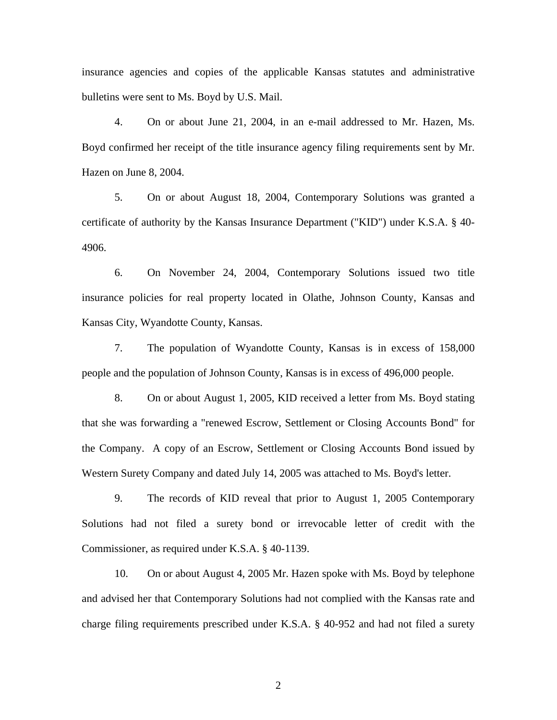insurance agencies and copies of the applicable Kansas statutes and administrative bulletins were sent to Ms. Boyd by U.S. Mail.

 4. On or about June 21, 2004, in an e-mail addressed to Mr. Hazen, Ms. Boyd confirmed her receipt of the title insurance agency filing requirements sent by Mr. Hazen on June 8, 2004.

 5. On or about August 18, 2004, Contemporary Solutions was granted a certificate of authority by the Kansas Insurance Department ("KID") under K.S.A. § 40- 4906.

 6. On November 24, 2004, Contemporary Solutions issued two title insurance policies for real property located in Olathe, Johnson County, Kansas and Kansas City, Wyandotte County, Kansas.

 7. The population of Wyandotte County, Kansas is in excess of 158,000 people and the population of Johnson County, Kansas is in excess of 496,000 people.

 8. On or about August 1, 2005, KID received a letter from Ms. Boyd stating that she was forwarding a "renewed Escrow, Settlement or Closing Accounts Bond" for the Company. A copy of an Escrow, Settlement or Closing Accounts Bond issued by Western Surety Company and dated July 14, 2005 was attached to Ms. Boyd's letter.

 9. The records of KID reveal that prior to August 1, 2005 Contemporary Solutions had not filed a surety bond or irrevocable letter of credit with the Commissioner, as required under K.S.A. § 40-1139.

 10. On or about August 4, 2005 Mr. Hazen spoke with Ms. Boyd by telephone and advised her that Contemporary Solutions had not complied with the Kansas rate and charge filing requirements prescribed under K.S.A. § 40-952 and had not filed a surety

2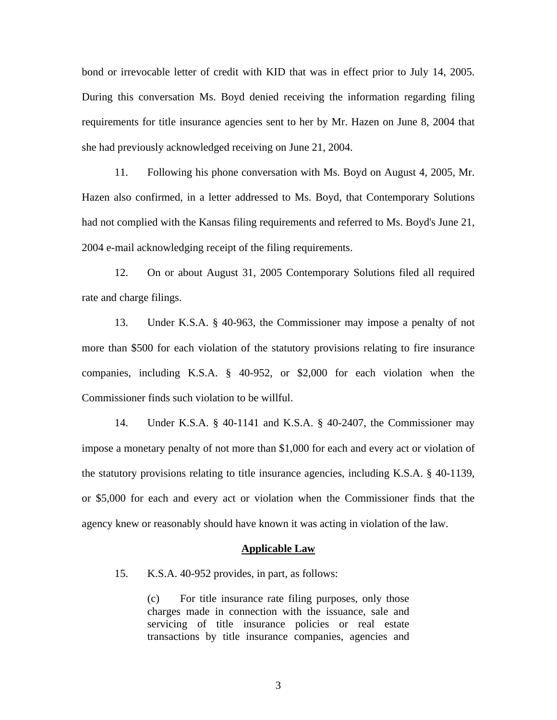bond or irrevocable letter of credit with KID that was in effect prior to July 14, 2005. During this conversation Ms. Boyd denied receiving the information regarding filing requirements for title insurance agencies sent to her by Mr. Hazen on June 8, 2004 that she had previously acknowledged receiving on June 21, 2004.

 11. Following his phone conversation with Ms. Boyd on August 4, 2005, Mr. Hazen also confirmed, in a letter addressed to Ms. Boyd, that Contemporary Solutions had not complied with the Kansas filing requirements and referred to Ms. Boyd's June 21, 2004 e-mail acknowledging receipt of the filing requirements.

 12. On or about August 31, 2005 Contemporary Solutions filed all required rate and charge filings.

 13. Under K.S.A. § 40-963, the Commissioner may impose a penalty of not more than \$500 for each violation of the statutory provisions relating to fire insurance companies, including K.S.A. § 40-952, or \$2,000 for each violation when the Commissioner finds such violation to be willful.

 14. Under K.S.A. § 40-1141 and K.S.A. § 40-2407, the Commissioner may impose a monetary penalty of not more than \$1,000 for each and every act or violation of the statutory provisions relating to title insurance agencies, including K.S.A. § 40-1139, or \$5,000 for each and every act or violation when the Commissioner finds that the agency knew or reasonably should have known it was acting in violation of the law.

#### **Applicable Law**

15. K.S.A. 40-952 provides, in part, as follows:

(c) For title insurance rate filing purposes, only those charges made in connection with the issuance, sale and servicing of title insurance policies or real estate transactions by title insurance companies, agencies and

3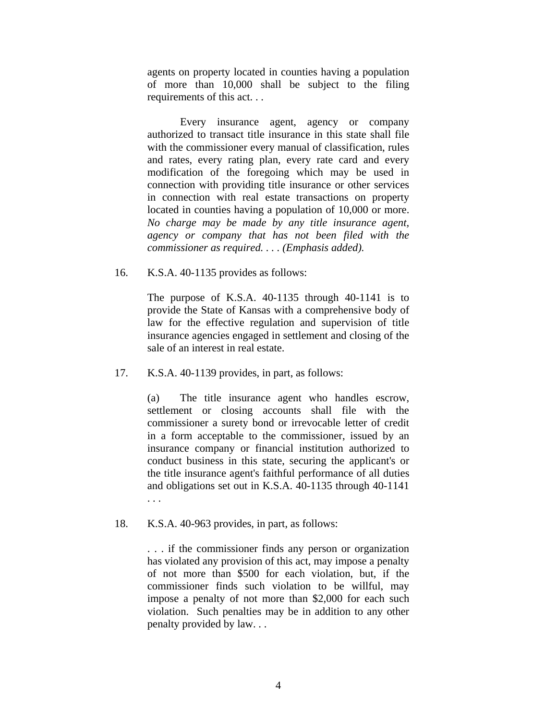agents on property located in counties having a population of more than 10,000 shall be subject to the filing requirements of this act. . .

 Every insurance agent, agency or company authorized to transact title insurance in this state shall file with the commissioner every manual of classification, rules and rates, every rating plan, every rate card and every modification of the foregoing which may be used in connection with providing title insurance or other services in connection with real estate transactions on property located in counties having a population of 10,000 or more. *No charge may be made by any title insurance agent, agency or company that has not been filed with the commissioner as required. . . . (Emphasis added).* 

16. K.S.A. 40-1135 provides as follows:

The purpose of K.S.A. 40-1135 through 40-1141 is to provide the State of Kansas with a comprehensive body of law for the effective regulation and supervision of title insurance agencies engaged in settlement and closing of the sale of an interest in real estate.

17. K.S.A. 40-1139 provides, in part, as follows:

(a) The title insurance agent who handles escrow, settlement or closing accounts shall file with the commissioner a surety bond or irrevocable letter of credit in a form acceptable to the commissioner, issued by an insurance company or financial institution authorized to conduct business in this state, securing the applicant's or the title insurance agent's faithful performance of all duties and obligations set out in K.S.A. 40-1135 through 40-1141 . . .

18. K.S.A. 40-963 provides, in part, as follows:

. . . if the commissioner finds any person or organization has violated any provision of this act, may impose a penalty of not more than \$500 for each violation, but, if the commissioner finds such violation to be willful, may impose a penalty of not more than \$2,000 for each such violation. Such penalties may be in addition to any other penalty provided by law. . .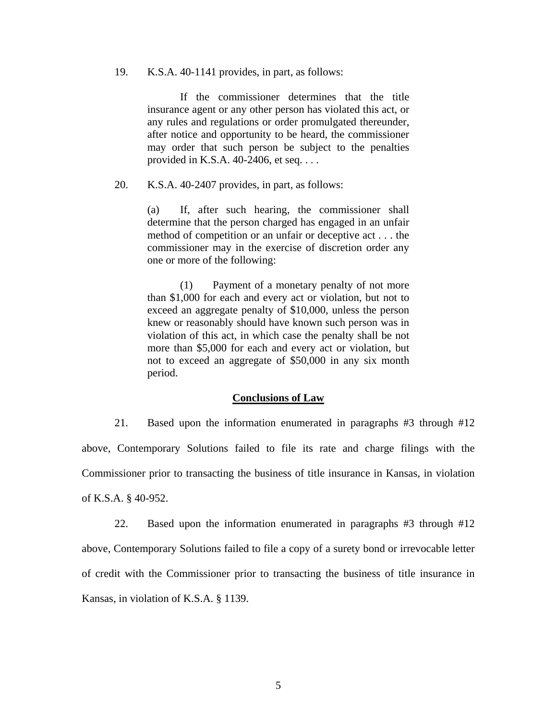### 19. K.S.A. 40-1141 provides, in part, as follows:

 If the commissioner determines that the title insurance agent or any other person has violated this act, or any rules and regulations or order promulgated thereunder, after notice and opportunity to be heard, the commissioner may order that such person be subject to the penalties provided in K.S.A. 40-2406, et seq. . . .

20. K.S.A. 40-2407 provides, in part, as follows:

(a) If, after such hearing, the commissioner shall determine that the person charged has engaged in an unfair method of competition or an unfair or deceptive act . . . the commissioner may in the exercise of discretion order any one or more of the following:

 (1) Payment of a monetary penalty of not more than \$1,000 for each and every act or violation, but not to exceed an aggregate penalty of \$10,000, unless the person knew or reasonably should have known such person was in violation of this act, in which case the penalty shall be not more than \$5,000 for each and every act or violation, but not to exceed an aggregate of \$50,000 in any six month period.

#### **Conclusions of Law**

 21. Based upon the information enumerated in paragraphs #3 through #12 above, Contemporary Solutions failed to file its rate and charge filings with the Commissioner prior to transacting the business of title insurance in Kansas, in violation of K.S.A. § 40-952.

 22. Based upon the information enumerated in paragraphs #3 through #12 above, Contemporary Solutions failed to file a copy of a surety bond or irrevocable letter of credit with the Commissioner prior to transacting the business of title insurance in Kansas, in violation of K.S.A. § 1139.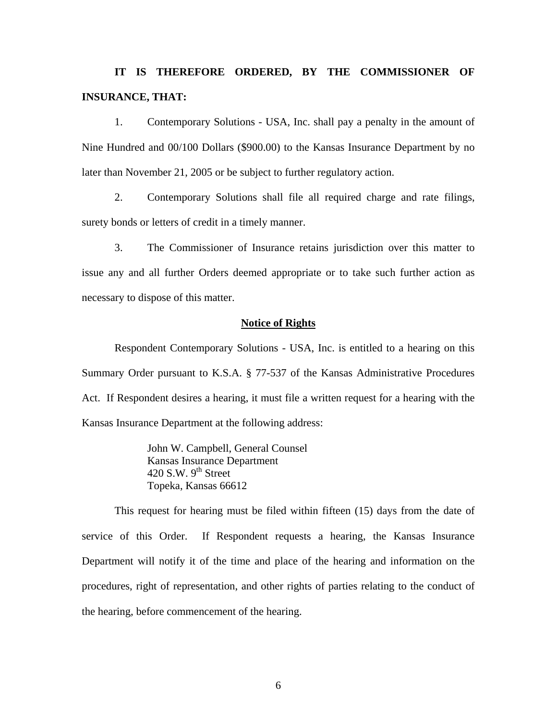# **IT IS THEREFORE ORDERED, BY THE COMMISSIONER OF INSURANCE, THAT:**

 1. Contemporary Solutions - USA, Inc. shall pay a penalty in the amount of Nine Hundred and 00/100 Dollars (\$900.00) to the Kansas Insurance Department by no later than November 21, 2005 or be subject to further regulatory action.

 2. Contemporary Solutions shall file all required charge and rate filings, surety bonds or letters of credit in a timely manner.

 3. The Commissioner of Insurance retains jurisdiction over this matter to issue any and all further Orders deemed appropriate or to take such further action as necessary to dispose of this matter.

### **Notice of Rights**

 Respondent Contemporary Solutions - USA, Inc. is entitled to a hearing on this Summary Order pursuant to K.S.A. § 77-537 of the Kansas Administrative Procedures Act. If Respondent desires a hearing, it must file a written request for a hearing with the Kansas Insurance Department at the following address:

> John W. Campbell, General Counsel Kansas Insurance Department 420 S.W.  $9^{th}$  Street Topeka, Kansas 66612

 This request for hearing must be filed within fifteen (15) days from the date of service of this Order. If Respondent requests a hearing, the Kansas Insurance Department will notify it of the time and place of the hearing and information on the procedures, right of representation, and other rights of parties relating to the conduct of the hearing, before commencement of the hearing.

 $\sim$  6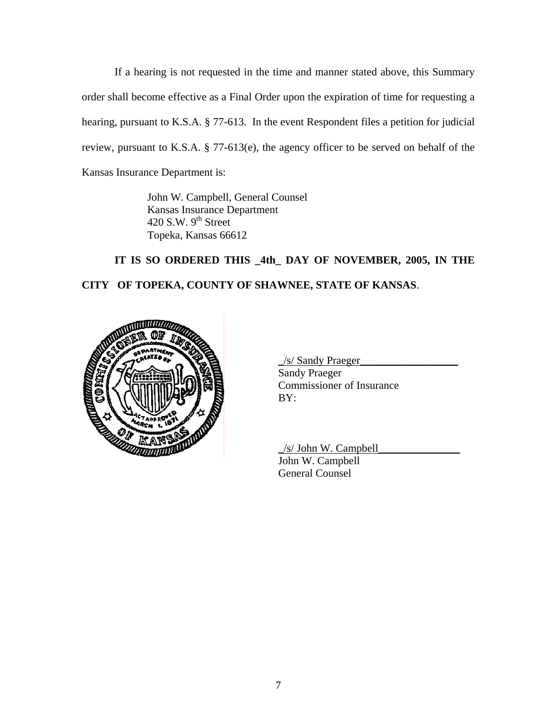If a hearing is not requested in the time and manner stated above, this Summary order shall become effective as a Final Order upon the expiration of time for requesting a hearing, pursuant to K.S.A. § 77-613. In the event Respondent files a petition for judicial review, pursuant to K.S.A. § 77-613(e), the agency officer to be served on behalf of the Kansas Insurance Department is:

> John W. Campbell, General Counsel Kansas Insurance Department 420 S.W.  $9<sup>th</sup>$  Street Topeka, Kansas 66612

# **IT IS SO ORDERED THIS \_4th\_ DAY OF NOVEMBER, 2005, IN THE CITY OF TOPEKA, COUNTY OF SHAWNEE, STATE OF KANSAS**.



 \_/s/ Sandy Praeger\_\_\_\_\_\_\_\_\_\_\_\_\_\_\_\_\_\_ Sandy Praeger \_\_ Commissioner of Insurance

 \_/s/ John W. Campbell\_\_\_\_\_\_\_\_\_\_\_\_\_\_\_ John W. Campbell General Counsel